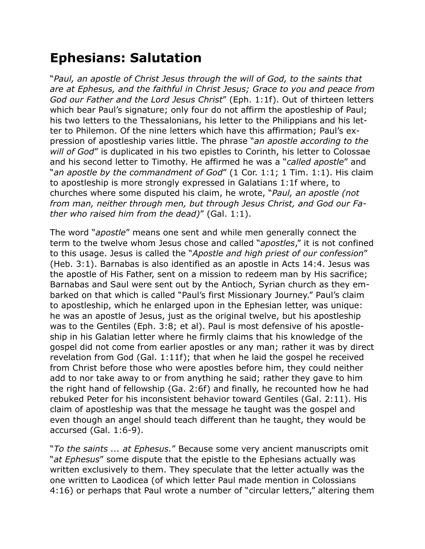## **Ephesians: Salutation**

"*Paul, an apostle of Christ Jesus through the will of God, to the saints that are at Ephesus, and the faithful in Christ Jesus; Grace to you and peace from God our Father and the Lord Jesus Christ*" (Eph. 1:1f). Out of thirteen letters which bear Paul's signature; only four do not affirm the apostleship of Paul; his two letters to the Thessalonians, his letter to the Philippians and his letter to Philemon. Of the nine letters which have this affirmation; Paul's expression of apostleship varies little. The phrase "*an apostle according to the will of God*" is duplicated in his two epistles to Corinth, his letter to Colossae and his second letter to Timothy. He affirmed he was a "*called apostle*" and "*an apostle by the commandment of God*" (1 Cor. 1:1; 1 Tim. 1:1). His claim to apostleship is more strongly expressed in Galatians 1:1f where, to churches where some disputed his claim, he wrote, "*Paul, an apostle (not from man, neither through men, but through Jesus Christ, and God our Father who raised him from the dead)*" (Gal. 1:1).

The word "*apostle*" means one sent and while men generally connect the term to the twelve whom Jesus chose and called "*apostles*," it is not confined to this usage. Jesus is called the "*Apostle and high priest of our confession*" (Heb. 3:1). Barnabas is also identified as an apostle in Acts 14:4. Jesus was the apostle of His Father, sent on a mission to redeem man by His sacrifice; Barnabas and Saul were sent out by the Antioch, Syrian church as they embarked on that which is called "Paul's first Missionary Journey." Paul's claim to apostleship, which he enlarged upon in the Ephesian letter, was unique: he was an apostle of Jesus, just as the original twelve, but his apostleship was to the Gentiles (Eph. 3:8; et al). Paul is most defensive of his apostleship in his Galatian letter where he firmly claims that his knowledge of the gospel did not come from earlier apostles or any man; rather it was by direct revelation from God (Gal. 1:11f); that when he laid the gospel he received from Christ before those who were apostles before him, they could neither add to nor take away to or from anything he said; rather they gave to him the right hand of fellowship (Ga. 2:6f) and finally, he recounted how he had rebuked Peter for his inconsistent behavior toward Gentiles (Gal. 2:11). His claim of apostleship was that the message he taught was the gospel and even though an angel should teach different than he taught, they would be accursed (Gal. 1:6-9).

"*To the saints ... at Ephesus.*" Because some very ancient manuscripts omit "*at Ephesus*" some dispute that the epistle to the Ephesians actually was written exclusively to them. They speculate that the letter actually was the one written to Laodicea (of which letter Paul made mention in Colossians 4:16) or perhaps that Paul wrote a number of "circular letters," altering them